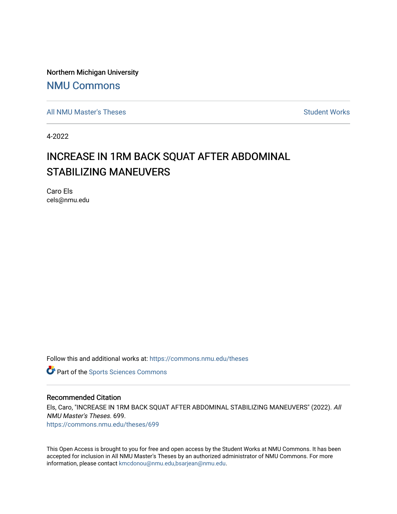Northern Michigan University

# [NMU Commons](https://commons.nmu.edu/)

[All NMU Master's Theses](https://commons.nmu.edu/theses) [Student Works](https://commons.nmu.edu/student_works) and Student Works Student Works Student Works

4-2022

# INCREASE IN 1RM BACK SQUAT AFTER ABDOMINAL STABILIZING MANEUVERS

Caro Els cels@nmu.edu

Follow this and additional works at: [https://commons.nmu.edu/theses](https://commons.nmu.edu/theses?utm_source=commons.nmu.edu%2Ftheses%2F699&utm_medium=PDF&utm_campaign=PDFCoverPages)

**Part of the Sports Sciences Commons** 

#### Recommended Citation

Els, Caro, "INCREASE IN 1RM BACK SQUAT AFTER ABDOMINAL STABILIZING MANEUVERS" (2022). All NMU Master's Theses. 699. [https://commons.nmu.edu/theses/699](https://commons.nmu.edu/theses/699?utm_source=commons.nmu.edu%2Ftheses%2F699&utm_medium=PDF&utm_campaign=PDFCoverPages) 

This Open Access is brought to you for free and open access by the Student Works at NMU Commons. It has been accepted for inclusion in All NMU Master's Theses by an authorized administrator of NMU Commons. For more information, please contact [kmcdonou@nmu.edu,bsarjean@nmu.edu](mailto:kmcdonou@nmu.edu,bsarjean@nmu.edu).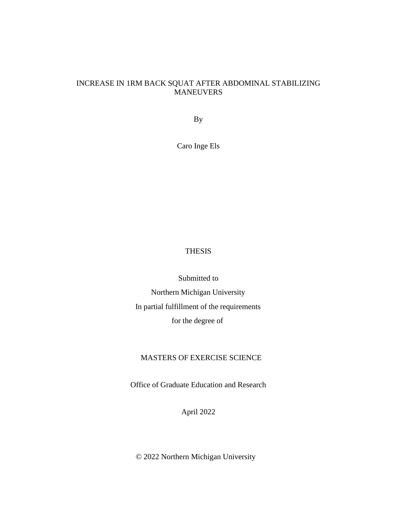# INCREASE IN 1RM BACK SQUAT AFTER ABDOMINAL STABILIZING MANEUVERS

By

Caro Inge Els

# THESIS

Submitted to Northern Michigan University In partial fulfillment of the requirements for the degree of

# MASTERS OF EXERCISE SCIENCE

Office of Graduate Education and Research

April 2022

© 2022 Northern Michigan University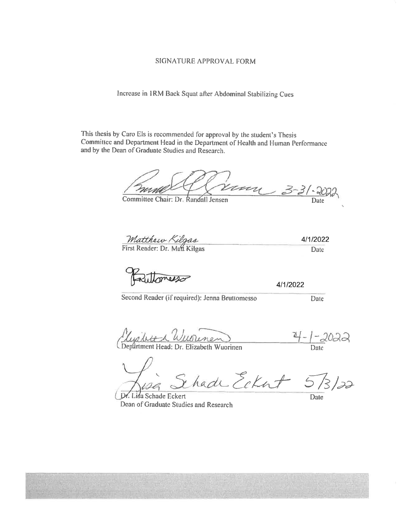#### SIGNATURE APPROVAL FORM

Increase in IRM Back Squat after Abdominal Stabilizing Cues

This thesis by Caro Els is recommended for approval by the student's Thesis Committee and Department Head in the Department of Health and Human Performance and by the Dean of Graduate Studies and Research.

um 3-31-20

Committee Chair: Dr. Randall Jensen

Matthew Kilgas

Railoness

4/1/2022

Second Reader (if required): Jenna Bruttomesso

Date

4/1/2022 Date

<u>Musilve a Wuninem</u>

<u>-2022</u> Date

ihade Eckat 573/22

Lisa Schade Eckert Dean of Graduate Studies and Research

Date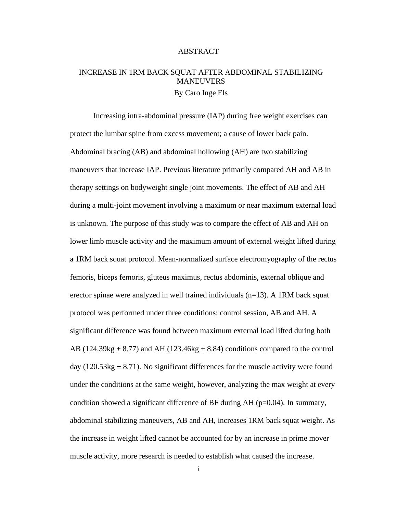#### ABSTRACT

# INCREASE IN 1RM BACK SQUAT AFTER ABDOMINAL STABILIZING MANEUVERS By Caro Inge Els

Increasing intra-abdominal pressure (IAP) during free weight exercises can protect the lumbar spine from excess movement; a cause of lower back pain. Abdominal bracing (AB) and abdominal hollowing (AH) are two stabilizing maneuvers that increase IAP. Previous literature primarily compared AH and AB in therapy settings on bodyweight single joint movements. The effect of AB and AH during a multi-joint movement involving a maximum or near maximum external load is unknown. The purpose of this study was to compare the effect of AB and AH on lower limb muscle activity and the maximum amount of external weight lifted during a 1RM back squat protocol. Mean-normalized surface electromyography of the rectus femoris, biceps femoris, gluteus maximus, rectus abdominis, external oblique and erector spinae were analyzed in well trained individuals (n=13). A 1RM back squat protocol was performed under three conditions: control session, AB and AH. A significant difference was found between maximum external load lifted during both AB (124.39kg  $\pm$  8.77) and AH (123.46kg  $\pm$  8.84) conditions compared to the control day (120.53kg  $\pm$  8.71). No significant differences for the muscle activity were found under the conditions at the same weight, however, analyzing the max weight at every condition showed a significant difference of BF during  $AH$  ( $p=0.04$ ). In summary, abdominal stabilizing maneuvers, AB and AH, increases 1RM back squat weight. As the increase in weight lifted cannot be accounted for by an increase in prime mover muscle activity, more research is needed to establish what caused the increase.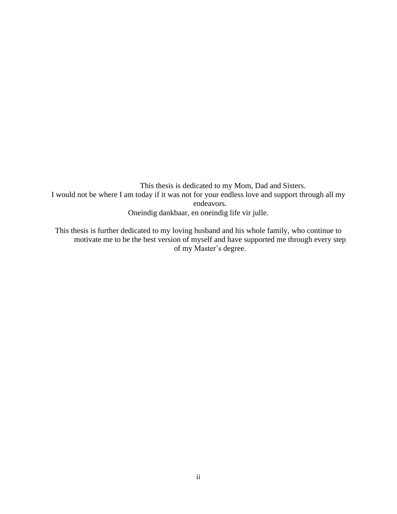This thesis is dedicated to my Mom, Dad and Sisters. I would not be where I am today if it was not for your endless love and support through all my endeavors. Oneindig dankbaar, en oneindig life vir julle.

This thesis is further dedicated to my loving husband and his whole family, who continue to motivate me to be the best version of myself and have supported me through every step of my Master's degree.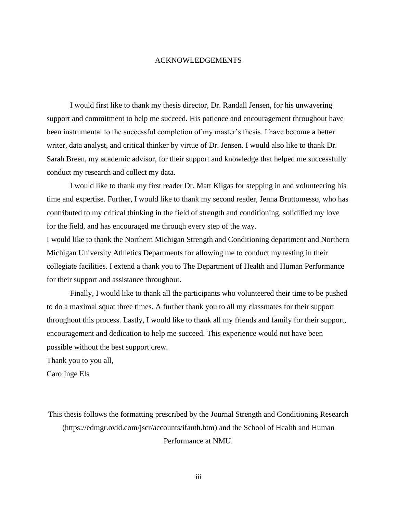#### ACKNOWLEDGEMENTS

I would first like to thank my thesis director, Dr. Randall Jensen, for his unwavering support and commitment to help me succeed. His patience and encouragement throughout have been instrumental to the successful completion of my master's thesis. I have become a better writer, data analyst, and critical thinker by virtue of Dr. Jensen. I would also like to thank Dr. Sarah Breen, my academic advisor, for their support and knowledge that helped me successfully conduct my research and collect my data.

I would like to thank my first reader Dr. Matt Kilgas for stepping in and volunteering his time and expertise. Further, I would like to thank my second reader, Jenna Bruttomesso, who has contributed to my critical thinking in the field of strength and conditioning, solidified my love for the field, and has encouraged me through every step of the way.

I would like to thank the Northern Michigan Strength and Conditioning department and Northern Michigan University Athletics Departments for allowing me to conduct my testing in their collegiate facilities. I extend a thank you to The Department of Health and Human Performance for their support and assistance throughout.

Finally, I would like to thank all the participants who volunteered their time to be pushed to do a maximal squat three times. A further thank you to all my classmates for their support throughout this process. Lastly, I would like to thank all my friends and family for their support, encouragement and dedication to help me succeed. This experience would not have been possible without the best support crew.

Thank you to you all,

Caro Inge Els

This thesis follows the formatting prescribed by the Journal Strength and Conditioning Research (https://edmgr.ovid.com/jscr/accounts/ifauth.htm) and the School of Health and Human Performance at NMU.

iii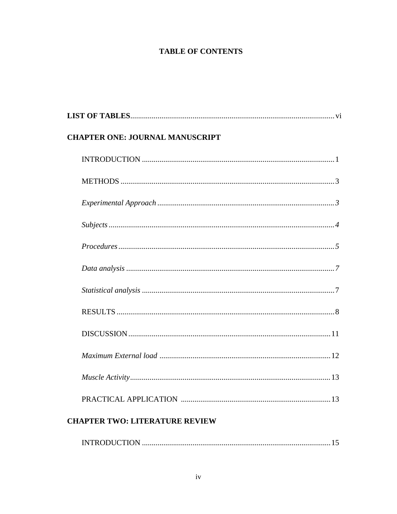# **TABLE OF CONTENTS**

| <b>CHAPTER ONE: JOURNAL MANUSCRIPT</b> |
|----------------------------------------|
|                                        |
|                                        |
|                                        |
|                                        |
|                                        |
|                                        |
|                                        |
|                                        |
|                                        |
|                                        |
|                                        |
|                                        |
| <b>CHAPTER TWO: LITERATURE REVIEW</b>  |

|--|--|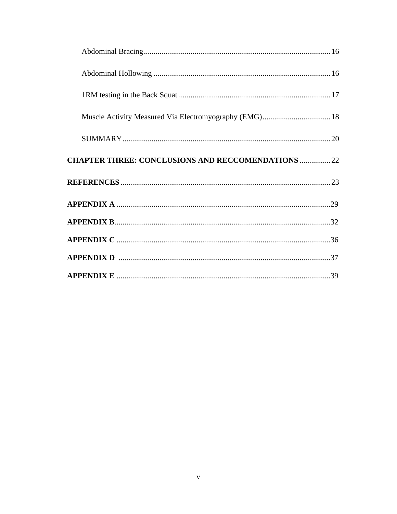| <b>CHAPTER THREE: CONCLUSIONS AND RECCOMENDATIONS  22</b> |  |
|-----------------------------------------------------------|--|
|                                                           |  |
|                                                           |  |
|                                                           |  |
|                                                           |  |
|                                                           |  |
|                                                           |  |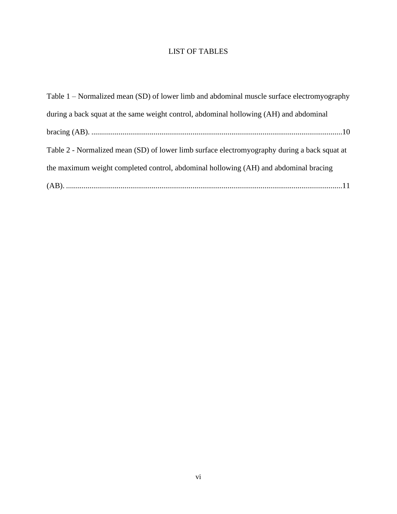# LIST OF TABLES

| Table 1 – Normalized mean (SD) of lower limb and abdominal muscle surface electromyography   |
|----------------------------------------------------------------------------------------------|
| during a back squat at the same weight control, abdominal hollowing (AH) and abdominal       |
|                                                                                              |
| Table 2 - Normalized mean (SD) of lower limb surface electromyography during a back squat at |
| the maximum weight completed control, abdominal hollowing (AH) and abdominal bracing         |
|                                                                                              |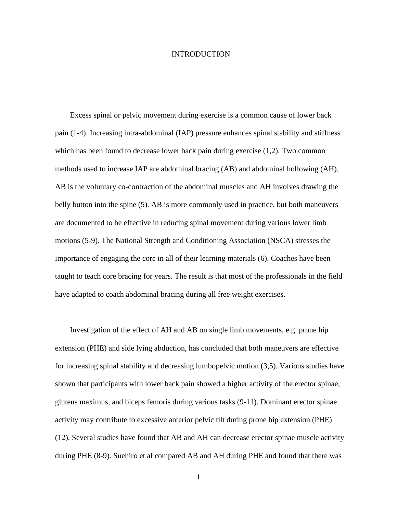#### INTRODUCTION

Excess spinal or pelvic movement during exercise is a common cause of lower back pain (1-4). Increasing intra-abdominal (IAP) pressure enhances spinal stability and stiffness which has been found to decrease lower back pain during exercise  $(1,2)$ . Two common methods used to increase IAP are abdominal bracing (AB) and abdominal hollowing (AH). AB is the voluntary co-contraction of the abdominal muscles and AH involves drawing the belly button into the spine (5). AB is more commonly used in practice, but both maneuvers are documented to be effective in reducing spinal movement during various lower limb motions (5-9). The National Strength and Conditioning Association (NSCA) stresses the importance of engaging the core in all of their learning materials (6). Coaches have been taught to teach core bracing for years. The result is that most of the professionals in the field have adapted to coach abdominal bracing during all free weight exercises.

Investigation of the effect of AH and AB on single limb movements, e.g. prone hip extension (PHE) and side lying abduction, has concluded that both maneuvers are effective for increasing spinal stability and decreasing lumbopelvic motion (3,5). Various studies have shown that participants with lower back pain showed a higher activity of the erector spinae, gluteus maximus, and biceps femoris during various tasks (9-11). Dominant erector spinae activity may contribute to excessive anterior pelvic tilt during prone hip extension (PHE) (12). Several studies have found that AB and AH can decrease erector spinae muscle activity during PHE (8-9). Suehiro et al compared AB and AH during PHE and found that there was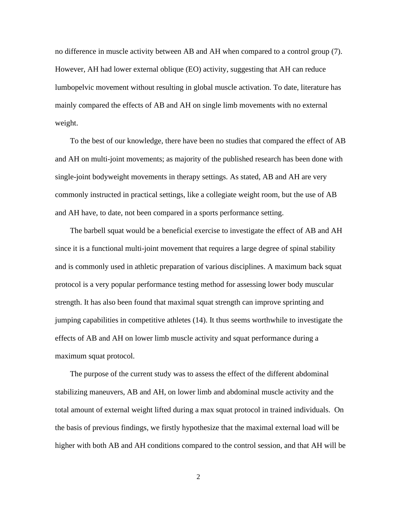no difference in muscle activity between AB and AH when compared to a control group (7). However, AH had lower external oblique (EO) activity, suggesting that AH can reduce lumbopelvic movement without resulting in global muscle activation. To date, literature has mainly compared the effects of AB and AH on single limb movements with no external weight.

To the best of our knowledge, there have been no studies that compared the effect of AB and AH on multi-joint movements; as majority of the published research has been done with single-joint bodyweight movements in therapy settings*.* As stated, AB and AH are very commonly instructed in practical settings, like a collegiate weight room, but the use of AB and AH have, to date, not been compared in a sports performance setting.

The barbell squat would be a beneficial exercise to investigate the effect of AB and AH since it is a functional multi-joint movement that requires a large degree of spinal stability and is commonly used in athletic preparation of various disciplines. A maximum back squat protocol is a very popular performance testing method for assessing lower body muscular strength. It has also been found that maximal squat strength can improve sprinting and jumping capabilities in competitive athletes (14). It thus seems worthwhile to investigate the effects of AB and AH on lower limb muscle activity and squat performance during a maximum squat protocol.

The purpose of the current study was to assess the effect of the different abdominal stabilizing maneuvers, AB and AH, on lower limb and abdominal muscle activity and the total amount of external weight lifted during a max squat protocol in trained individuals. On the basis of previous findings, we firstly hypothesize that the maximal external load will be higher with both AB and AH conditions compared to the control session, and that AH will be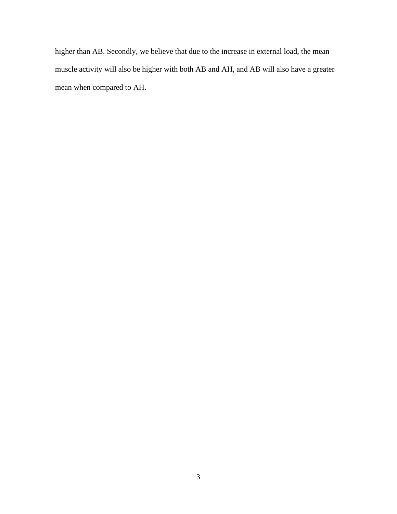higher than AB. Secondly, we believe that due to the increase in external load, the mean muscle activity will also be higher with both AB and AH, and AB will also have a greater mean when compared to AH.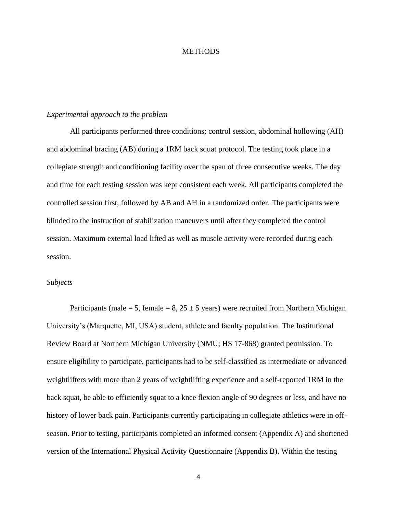#### **METHODS**

#### *Experimental approach to the problem*

All participants performed three conditions; control session, abdominal hollowing (AH) and abdominal bracing (AB) during a 1RM back squat protocol. The testing took place in a collegiate strength and conditioning facility over the span of three consecutive weeks. The day and time for each testing session was kept consistent each week. All participants completed the controlled session first, followed by AB and AH in a randomized order. The participants were blinded to the instruction of stabilization maneuvers until after they completed the control session. Maximum external load lifted as well as muscle activity were recorded during each session.

#### *Subjects*

Participants (male = 5, female = 8,  $25 \pm 5$  years) were recruited from Northern Michigan University's (Marquette, MI, USA) student, athlete and faculty population. The Institutional Review Board at Northern Michigan University (NMU; HS 17-868) granted permission. To ensure eligibility to participate, participants had to be self-classified as intermediate or advanced weightlifters with more than 2 years of weightlifting experience and a self-reported 1RM in the back squat, be able to efficiently squat to a knee flexion angle of 90 degrees or less, and have no history of lower back pain. Participants currently participating in collegiate athletics were in offseason. Prior to testing, participants completed an informed consent (Appendix A) and shortened version of the International Physical Activity Questionnaire (Appendix B). Within the testing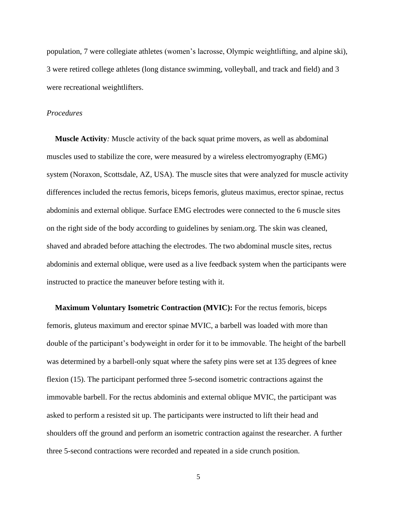population, 7 were collegiate athletes (women's lacrosse, Olympic weightlifting, and alpine ski), 3 were retired college athletes (long distance swimming, volleyball, and track and field) and 3 were recreational weightlifters.

#### *Procedures*

**Muscle Activity***:* Muscle activity of the back squat prime movers, as well as abdominal muscles used to stabilize the core, were measured by a wireless electromyography (EMG) system (Noraxon, Scottsdale, AZ, USA). The muscle sites that were analyzed for muscle activity differences included the rectus femoris, biceps femoris, gluteus maximus, erector spinae, rectus abdominis and external oblique. Surface EMG electrodes were connected to the 6 muscle sites on the right side of the body according to guidelines by seniam.org. The skin was cleaned, shaved and abraded before attaching the electrodes. The two abdominal muscle sites, rectus abdominis and external oblique, were used as a live feedback system when the participants were instructed to practice the maneuver before testing with it.

**Maximum Voluntary Isometric Contraction (MVIC):** For the rectus femoris, biceps femoris, gluteus maximum and erector spinae MVIC, a barbell was loaded with more than double of the participant's bodyweight in order for it to be immovable. The height of the barbell was determined by a barbell-only squat where the safety pins were set at 135 degrees of knee flexion (15). The participant performed three 5-second isometric contractions against the immovable barbell. For the rectus abdominis and external oblique MVIC, the participant was asked to perform a resisted sit up. The participants were instructed to lift their head and shoulders off the ground and perform an isometric contraction against the researcher. A further three 5-second contractions were recorded and repeated in a side crunch position.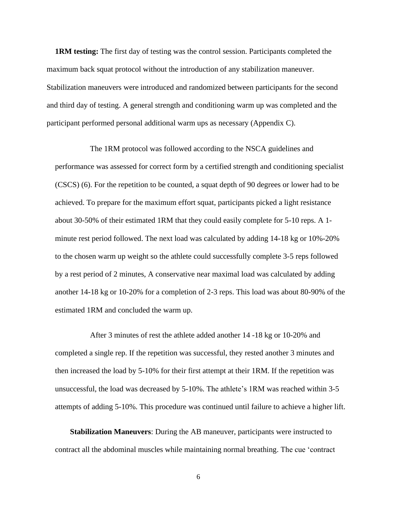**1RM testing:** The first day of testing was the control session. Participants completed the maximum back squat protocol without the introduction of any stabilization maneuver. Stabilization maneuvers were introduced and randomized between participants for the second and third day of testing. A general strength and conditioning warm up was completed and the participant performed personal additional warm ups as necessary (Appendix C).

The 1RM protocol was followed according to the NSCA guidelines and performance was assessed for correct form by a certified strength and conditioning specialist (CSCS) (6). For the repetition to be counted, a squat depth of 90 degrees or lower had to be achieved. To prepare for the maximum effort squat, participants picked a light resistance about 30-50% of their estimated 1RM that they could easily complete for 5-10 reps. A 1 minute rest period followed. The next load was calculated by adding 14-18 kg or 10%-20% to the chosen warm up weight so the athlete could successfully complete 3-5 reps followed by a rest period of 2 minutes, A conservative near maximal load was calculated by adding another 14-18 kg or 10-20% for a completion of 2-3 reps. This load was about 80-90% of the estimated 1RM and concluded the warm up.

After 3 minutes of rest the athlete added another 14 -18 kg or 10-20% and completed a single rep. If the repetition was successful, they rested another 3 minutes and then increased the load by 5-10% for their first attempt at their 1RM. If the repetition was unsuccessful, the load was decreased by 5-10%. The athlete's 1RM was reached within 3-5 attempts of adding 5-10%. This procedure was continued until failure to achieve a higher lift.

**Stabilization Maneuvers**: During the AB maneuver, participants were instructed to contract all the abdominal muscles while maintaining normal breathing. The cue 'contract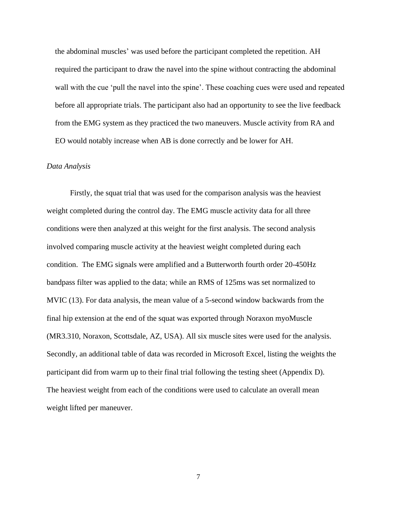the abdominal muscles' was used before the participant completed the repetition. AH required the participant to draw the navel into the spine without contracting the abdominal wall with the cue 'pull the navel into the spine'. These coaching cues were used and repeated before all appropriate trials. The participant also had an opportunity to see the live feedback from the EMG system as they practiced the two maneuvers. Muscle activity from RA and EO would notably increase when AB is done correctly and be lower for AH.

#### *Data Analysis*

Firstly, the squat trial that was used for the comparison analysis was the heaviest weight completed during the control day. The EMG muscle activity data for all three conditions were then analyzed at this weight for the first analysis. The second analysis involved comparing muscle activity at the heaviest weight completed during each condition. The EMG signals were amplified and a Butterworth fourth order 20-450Hz bandpass filter was applied to the data; while an RMS of 125ms was set normalized to MVIC (13). For data analysis, the mean value of a 5-second window backwards from the final hip extension at the end of the squat was exported through Noraxon myoMuscle (MR3.310, Noraxon, Scottsdale, AZ, USA). All six muscle sites were used for the analysis. Secondly, an additional table of data was recorded in Microsoft Excel, listing the weights the participant did from warm up to their final trial following the testing sheet (Appendix D). The heaviest weight from each of the conditions were used to calculate an overall mean weight lifted per maneuver.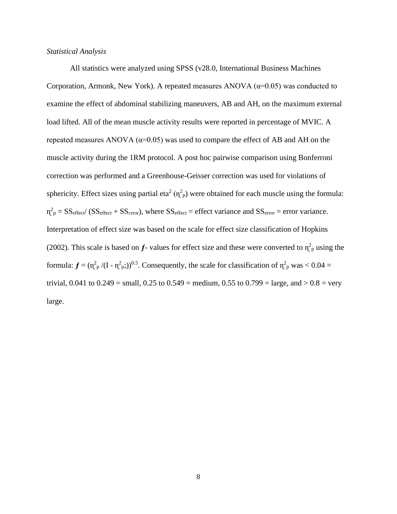#### *Statistical Analysis*

All statistics were analyzed using SPSS (v28.0, International Business Machines Corporation, Armonk, New York). A repeated measures ANOVA  $(\alpha=0.05)$  was conducted to examine the effect of abdominal stabilizing maneuvers, AB and AH, on the maximum external load lifted. All of the mean muscle activity results were reported in percentage of MVIC. A repeated measures ANOVA ( $\alpha$ =0.05) was used to compare the effect of AB and AH on the muscle activity during the 1RM protocol. A post hoc pairwise comparison using Bonferroni correction was performed and a Greenhouse-Geisser correction was used for violations of sphericity. Effect sizes using partial eta<sup>2</sup> ( $\eta^2$ <sub>p</sub>) were obtained for each muscle using the formula:  $\eta_{\text{p}}^2 = SS_{\text{effect}}/(SS_{\text{effect}} + SS_{\text{error}})$ , where  $SS_{\text{effect}} =$  effect variance and  $SS_{\text{error}} =$  error variance. Interpretation of effect size was based on the scale for effect size classification of Hopkins (2002). This scale is based on  $f$ - values for effect size and these were converted to  $\eta_{\rm p}^2$  using the formula:  $f = (n_{\rm p}^2/(I - n_{\rm p}^2))^{0.5}$ . Consequently, the scale for classification of  $n_{\rm p}^2$  was < 0.04 = trivial,  $0.041$  to  $0.249$  = small,  $0.25$  to  $0.549$  = medium,  $0.55$  to  $0.799$  = large, and  $> 0.8$  = very large.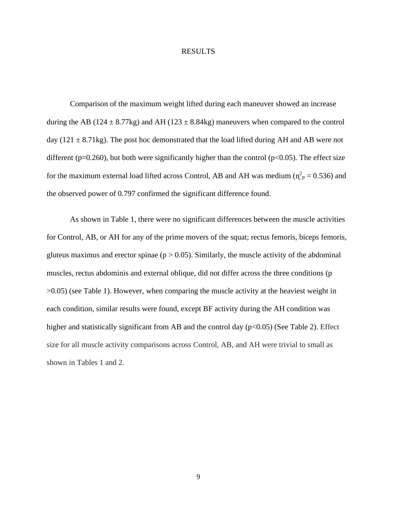#### RESULTS

Comparison of the maximum weight lifted during each maneuver showed an increase during the AB (124  $\pm$  8.77kg) and AH (123  $\pm$  8.84kg) maneuvers when compared to the control day (121  $\pm$  8.71kg). The post hoc demonstrated that the load lifted during AH and AB were not different ( $p=0.260$ ), but both were significantly higher than the control ( $p<0.05$ ). The effect size for the maximum external load lifted across Control, AB and AH was medium ( $\eta_{\rm p}^2 = 0.536$ ) and the observed power of 0.797 confirmed the significant difference found.

As shown in Table 1, there were no significant differences between the muscle activities for Control, AB, or AH for any of the prime movers of the squat; rectus femoris, biceps femoris, gluteus maximus and erector spinae ( $p > 0.05$ ). Similarly, the muscle activity of the abdominal muscles, rectus abdominis and external oblique, did not differ across the three conditions (p >0.05) (see Table 1). However, when comparing the muscle activity at the heaviest weight in each condition, similar results were found, except BF activity during the AH condition was higher and statistically significant from AB and the control day ( $p<0.05$ ) (See Table 2). Effect size for all muscle activity comparisons across Control, AB, and AH were trivial to small as shown in Tables 1 and 2.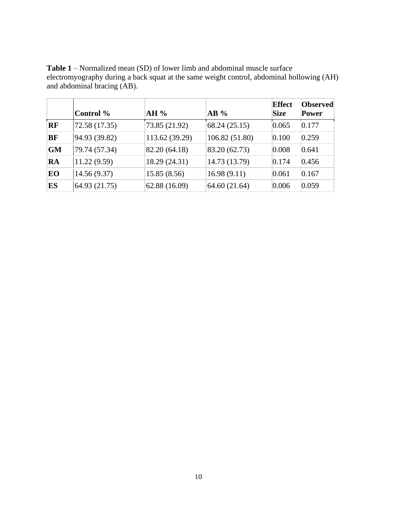|           |               |                |                | <b>Effect</b> | <b>Observed</b> |
|-----------|---------------|----------------|----------------|---------------|-----------------|
|           | Control %     | $AH\%$         | $AB\%$         | <b>Size</b>   | <b>Power</b>    |
| <b>RF</b> | 72.58 (17.35) | 73.85 (21.92)  | 68.24 (25.15)  | 0.065         | 0.177           |
| <b>BF</b> | 94.93 (39.82) | 113.62 (39.29) | 106.82 (51.80) | 0.100         | 0.259           |
| <b>GM</b> | 79.74 (57.34) | 82.20 (64.18)  | 83.20 (62.73)  | 0.008         | 0.641           |
| <b>RA</b> | 11.22(9.59)   | 18.29 (24.31)  | 14.73 (13.79)  | 0.174         | 0.456           |
| EO        | 14.56(9.37)   | 15.85(8.56)    | 16.98(9.11)    | 0.061         | 0.167           |
| ES        | 64.93 (21.75) | 62.88 (16.09)  | 64.60 (21.64)  | 0.006         | 0.059           |

**Table 1** – Normalized mean (SD) of lower limb and abdominal muscle surface electromyography during a back squat at the same weight control, abdominal hollowing (AH) and abdominal bracing (AB).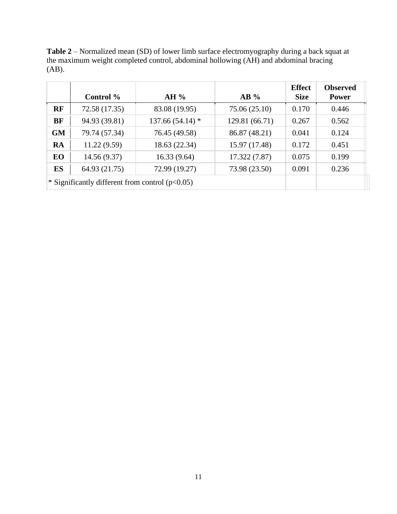**Table 2** – Normalized mean (SD) of lower limb surface electromyography during a back squat at the maximum weight completed control, abdominal hollowing (AH) and abdominal bracing (AB).

|           | Control %                                         | AH%               | $AB\%$         | <b>Effect</b><br><b>Size</b> | <b>Observed</b><br><b>Power</b> |
|-----------|---------------------------------------------------|-------------------|----------------|------------------------------|---------------------------------|
| RF        | 72.58 (17.35)                                     | 83.08 (19.95)     | 75.06 (25.10)  | 0.170                        | 0.446                           |
| BF        | 94.93 (39.81)                                     | $137.66(54.14)$ * | 129.81 (66.71) | 0.267                        | 0.562                           |
| <b>GM</b> | 79.74 (57.34)                                     | 76.45 (49.58)     | 86.87 (48.21)  | 0.041                        | 0.124                           |
| <b>RA</b> | 11.22(9.59)                                       | 18.63 (22.34)     | 15.97 (17.48)  | 0.172                        | 0.451                           |
| EO        | 14.56(9.37)                                       | 16.33(9.64)       | 17.322(7.87)   | 0.075                        | 0.199                           |
| <b>ES</b> | 64.93 (21.75)                                     | 72.99 (19.27)     | 73.98 (23.50)  | 0.091                        | 0.236                           |
|           | * Significantly different from control $(p<0.05)$ |                   |                |                              |                                 |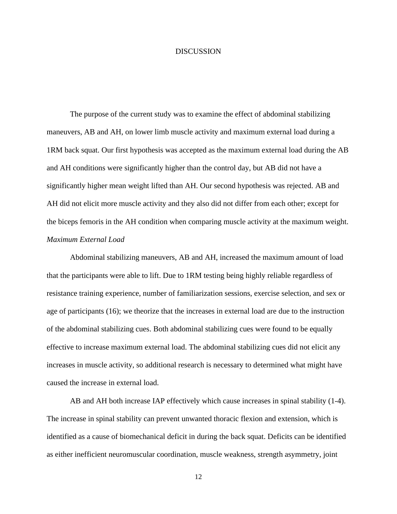#### **DISCUSSION**

The purpose of the current study was to examine the effect of abdominal stabilizing maneuvers, AB and AH, on lower limb muscle activity and maximum external load during a 1RM back squat. Our first hypothesis was accepted as the maximum external load during the AB and AH conditions were significantly higher than the control day, but AB did not have a significantly higher mean weight lifted than AH. Our second hypothesis was rejected. AB and AH did not elicit more muscle activity and they also did not differ from each other; except for the biceps femoris in the AH condition when comparing muscle activity at the maximum weight. *Maximum External Load*

Abdominal stabilizing maneuvers, AB and AH, increased the maximum amount of load that the participants were able to lift. Due to 1RM testing being highly reliable regardless of resistance training experience, number of familiarization sessions, exercise selection, and sex or age of participants (16); we theorize that the increases in external load are due to the instruction of the abdominal stabilizing cues. Both abdominal stabilizing cues were found to be equally effective to increase maximum external load. The abdominal stabilizing cues did not elicit any increases in muscle activity, so additional research is necessary to determined what might have caused the increase in external load.

AB and AH both increase IAP effectively which cause increases in spinal stability (1-4). The increase in spinal stability can prevent unwanted thoracic flexion and extension, which is identified as a cause of biomechanical deficit in during the back squat. Deficits can be identified as either inefficient neuromuscular coordination, muscle weakness, strength asymmetry, joint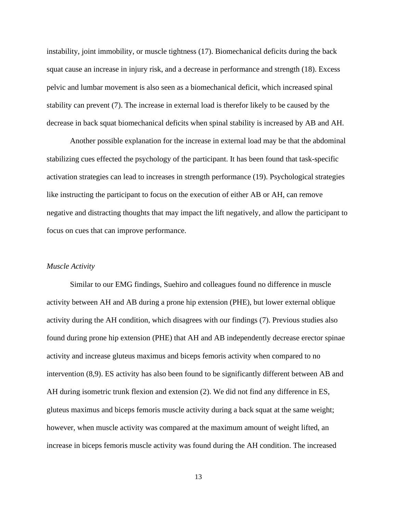instability, joint immobility, or muscle tightness (17). Biomechanical deficits during the back squat cause an increase in injury risk, and a decrease in performance and strength (18). Excess pelvic and lumbar movement is also seen as a biomechanical deficit, which increased spinal stability can prevent (7). The increase in external load is therefor likely to be caused by the decrease in back squat biomechanical deficits when spinal stability is increased by AB and AH.

Another possible explanation for the increase in external load may be that the abdominal stabilizing cues effected the psychology of the participant. It has been found that task-specific activation strategies can lead to increases in strength performance (19). Psychological strategies like instructing the participant to focus on the execution of either AB or AH, can remove negative and distracting thoughts that may impact the lift negatively, and allow the participant to focus on cues that can improve performance.

#### *Muscle Activity*

Similar to our EMG findings, Suehiro and colleagues found no difference in muscle activity between AH and AB during a prone hip extension (PHE), but lower external oblique activity during the AH condition, which disagrees with our findings (7). Previous studies also found during prone hip extension (PHE) that AH and AB independently decrease erector spinae activity and increase gluteus maximus and biceps femoris activity when compared to no intervention (8,9). ES activity has also been found to be significantly different between AB and AH during isometric trunk flexion and extension (2). We did not find any difference in ES, gluteus maximus and biceps femoris muscle activity during a back squat at the same weight; however, when muscle activity was compared at the maximum amount of weight lifted, an increase in biceps femoris muscle activity was found during the AH condition. The increased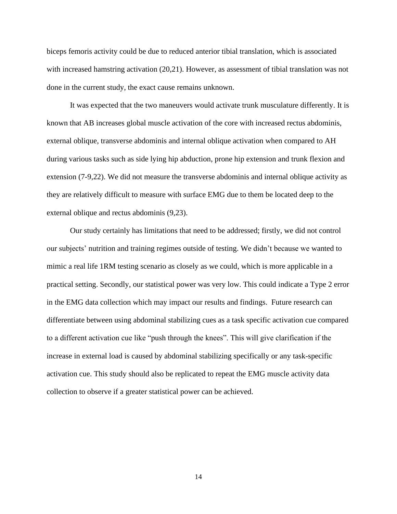biceps femoris activity could be due to reduced anterior tibial translation, which is associated with increased hamstring activation (20,21). However, as assessment of tibial translation was not done in the current study, the exact cause remains unknown.

It was expected that the two maneuvers would activate trunk musculature differently. It is known that AB increases global muscle activation of the core with increased rectus abdominis, external oblique, transverse abdominis and internal oblique activation when compared to AH during various tasks such as side lying hip abduction, prone hip extension and trunk flexion and extension (7-9,22). We did not measure the transverse abdominis and internal oblique activity as they are relatively difficult to measure with surface EMG due to them be located deep to the external oblique and rectus abdominis (9,23).

Our study certainly has limitations that need to be addressed; firstly, we did not control our subjects' nutrition and training regimes outside of testing. We didn't because we wanted to mimic a real life 1RM testing scenario as closely as we could, which is more applicable in a practical setting. Secondly, our statistical power was very low. This could indicate a Type 2 error in the EMG data collection which may impact our results and findings. Future research can differentiate between using abdominal stabilizing cues as a task specific activation cue compared to a different activation cue like "push through the knees". This will give clarification if the increase in external load is caused by abdominal stabilizing specifically or any task-specific activation cue. This study should also be replicated to repeat the EMG muscle activity data collection to observe if a greater statistical power can be achieved.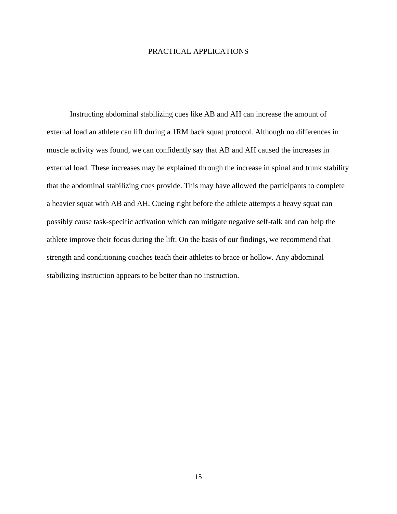### PRACTICAL APPLICATIONS

Instructing abdominal stabilizing cues like AB and AH can increase the amount of external load an athlete can lift during a 1RM back squat protocol. Although no differences in muscle activity was found, we can confidently say that AB and AH caused the increases in external load. These increases may be explained through the increase in spinal and trunk stability that the abdominal stabilizing cues provide. This may have allowed the participants to complete a heavier squat with AB and AH. Cueing right before the athlete attempts a heavy squat can possibly cause task-specific activation which can mitigate negative self-talk and can help the athlete improve their focus during the lift. On the basis of our findings, we recommend that strength and conditioning coaches teach their athletes to brace or hollow. Any abdominal stabilizing instruction appears to be better than no instruction.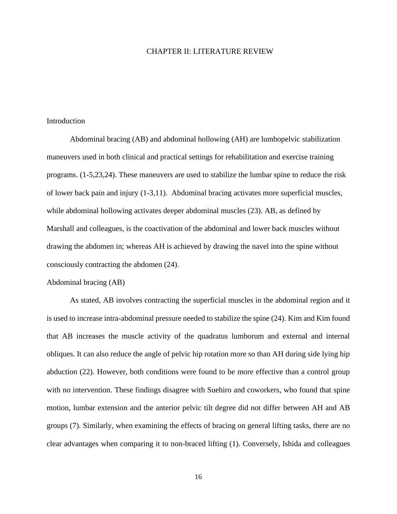#### CHAPTER II: LITERATURE REVIEW

#### Introduction

Abdominal bracing (AB) and abdominal hollowing (AH) are lumbopelvic stabilization maneuvers used in both clinical and practical settings for rehabilitation and exercise training programs. (1-5,23,24). These maneuvers are used to stabilize the lumbar spine to reduce the risk of lower back pain and injury (1-3,11). Abdominal bracing activates more superficial muscles, while abdominal hollowing activates deeper abdominal muscles (23). AB, as defined by Marshall and colleagues, is the coactivation of the abdominal and lower back muscles without drawing the abdomen in; whereas AH is achieved by drawing the navel into the spine without consciously contracting the abdomen (24).

#### Abdominal bracing (AB)

As stated, AB involves contracting the superficial muscles in the abdominal region and it is used to increase intra-abdominal pressure needed to stabilize the spine (24). Kim and Kim found that AB increases the muscle activity of the quadratus lumborum and external and internal obliques. It can also reduce the angle of pelvic hip rotation more so than AH during side lying hip abduction (22). However, both conditions were found to be more effective than a control group with no intervention. These findings disagree with Suehiro and coworkers, who found that spine motion, lumbar extension and the anterior pelvic tilt degree did not differ between AH and AB groups (7). Similarly, when examining the effects of bracing on general lifting tasks, there are no clear advantages when comparing it to non-braced lifting (1). Conversely, Ishida and colleagues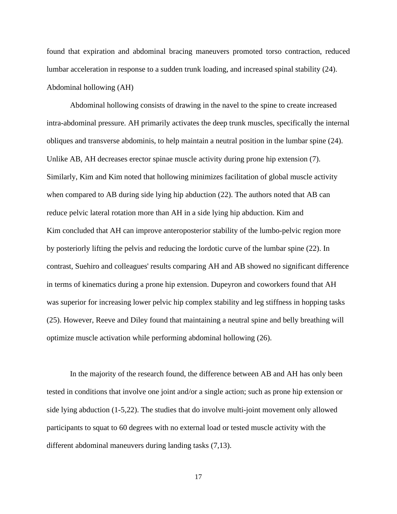found that expiration and abdominal bracing maneuvers promoted torso contraction, reduced lumbar acceleration in response to a sudden trunk loading, and increased spinal stability (24). Abdominal hollowing (AH)

Abdominal hollowing consists of drawing in the navel to the spine to create increased intra-abdominal pressure. AH primarily activates the deep trunk muscles, specifically the internal obliques and transverse abdominis, to help maintain a neutral position in the lumbar spine (24). Unlike AB, AH decreases erector spinae muscle activity during prone hip extension (7). Similarly, Kim and Kim noted that hollowing minimizes facilitation of global muscle activity when compared to AB during side lying hip abduction (22). The authors noted that AB can reduce pelvic lateral rotation more than AH in a side lying hip abduction. Kim and Kim concluded that AH can improve anteroposterior stability of the lumbo-pelvic region more by posteriorly lifting the pelvis and reducing the lordotic curve of the lumbar spine (22). In contrast, Suehiro and colleagues' results comparing AH and AB showed no significant difference in terms of kinematics during a prone hip extension. Dupeyron and coworkers found that AH was superior for increasing lower pelvic hip complex stability and leg stiffness in hopping tasks (25). However, Reeve and Diley found that maintaining a neutral spine and belly breathing will optimize muscle activation while performing abdominal hollowing (26).

In the majority of the research found, the difference between AB and AH has only been tested in conditions that involve one joint and/or a single action; such as prone hip extension or side lying abduction (1-5,22). The studies that do involve multi-joint movement only allowed participants to squat to 60 degrees with no external load or tested muscle activity with the different abdominal maneuvers during landing tasks (7,13).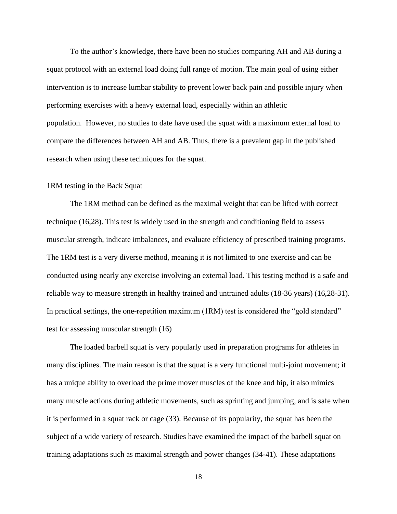To the author's knowledge, there have been no studies comparing AH and AB during a squat protocol with an external load doing full range of motion. The main goal of using either intervention is to increase lumbar stability to prevent lower back pain and possible injury when performing exercises with a heavy external load, especially within an athletic population. However, no studies to date have used the squat with a maximum external load to compare the differences between AH and AB. Thus, there is a prevalent gap in the published research when using these techniques for the squat.

#### 1RM testing in the Back Squat

The 1RM method can be defined as the maximal weight that can be lifted with correct technique (16,28). This test is widely used in the strength and conditioning field to assess muscular strength, indicate imbalances, and evaluate efficiency of prescribed training programs. The 1RM test is a very diverse method, meaning it is not limited to one exercise and can be conducted using nearly any exercise involving an external load. This testing method is a safe and reliable way to measure strength in healthy trained and untrained adults (18-36 years) (16,28-31). In practical settings, the one-repetition maximum (1RM) test is considered the "gold standard" test for assessing muscular strength (16)

The loaded barbell squat is very popularly used in preparation programs for athletes in many disciplines. The main reason is that the squat is a very functional multi-joint movement; it has a unique ability to overload the prime mover muscles of the knee and hip, it also mimics many muscle actions during athletic movements, such as sprinting and jumping, and is safe when it is performed in a squat rack or cage (33). Because of its popularity, the squat has been the subject of a wide variety of research. Studies have examined the impact of the barbell squat on training adaptations such as maximal strength and power changes (34-41). These adaptations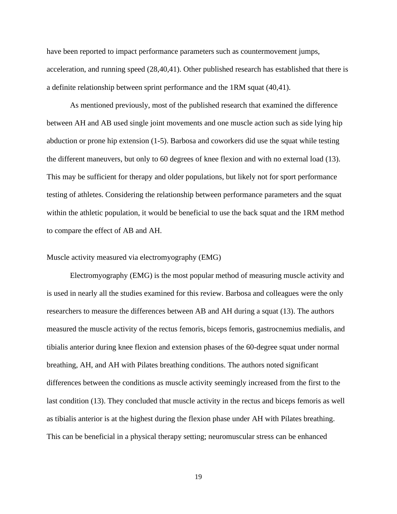have been reported to impact performance parameters such as countermovement jumps, acceleration, and running speed (28,40,41). Other published research has established that there is a definite relationship between sprint performance and the 1RM squat (40,41).

As mentioned previously, most of the published research that examined the difference between AH and AB used single joint movements and one muscle action such as side lying hip abduction or prone hip extension (1-5). Barbosa and coworkers did use the squat while testing the different maneuvers, but only to 60 degrees of knee flexion and with no external load (13). This may be sufficient for therapy and older populations, but likely not for sport performance testing of athletes. Considering the relationship between performance parameters and the squat within the athletic population, it would be beneficial to use the back squat and the 1RM method to compare the effect of AB and AH.

#### Muscle activity measured via electromyography (EMG)

Electromyography (EMG) is the most popular method of measuring muscle activity and is used in nearly all the studies examined for this review. Barbosa and colleagues were the only researchers to measure the differences between AB and AH during a squat (13). The authors measured the muscle activity of the rectus femoris, biceps femoris, gastrocnemius medialis, and tibialis anterior during knee flexion and extension phases of the 60-degree squat under normal breathing, AH, and AH with Pilates breathing conditions. The authors noted significant differences between the conditions as muscle activity seemingly increased from the first to the last condition (13). They concluded that muscle activity in the rectus and biceps femoris as well as tibialis anterior is at the highest during the flexion phase under AH with Pilates breathing. This can be beneficial in a physical therapy setting; neuromuscular stress can be enhanced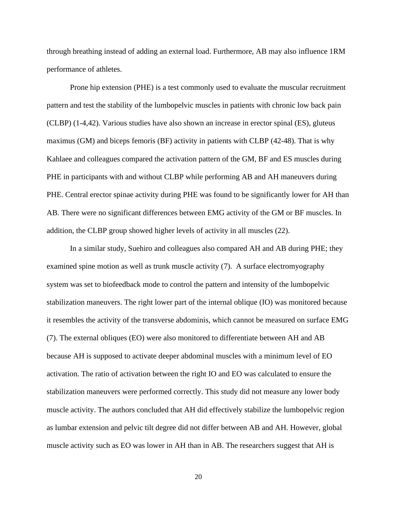through breathing instead of adding an external load. Furthermore, AB may also influence 1RM performance of athletes.

Prone hip extension (PHE) is a test commonly used to evaluate the muscular recruitment pattern and test the stability of the lumbopelvic muscles in patients with chronic low back pain (CLBP) (1-4,42). Various studies have also shown an increase in erector spinal (ES), gluteus maximus (GM) and biceps femoris (BF) activity in patients with CLBP (42-48). That is why Kahlaee and colleagues compared the activation pattern of the GM, BF and ES muscles during PHE in participants with and without CLBP while performing AB and AH maneuvers during PHE. Central erector spinae activity during PHE was found to be significantly lower for AH than AB. There were no significant differences between EMG activity of the GM or BF muscles. In addition, the CLBP group showed higher levels of activity in all muscles (22).

In a similar study, Suehiro and colleagues also compared AH and AB during PHE; they examined spine motion as well as trunk muscle activity (7). A surface electromyography system was set to biofeedback mode to control the pattern and intensity of the lumbopelvic stabilization maneuvers. The right lower part of the internal oblique (IO) was monitored because it resembles the activity of the transverse abdominis, which cannot be measured on surface EMG (7). The external obliques (EO) were also monitored to differentiate between AH and AB because AH is supposed to activate deeper abdominal muscles with a minimum level of EO activation. The ratio of activation between the right IO and EO was calculated to ensure the stabilization maneuvers were performed correctly. This study did not measure any lower body muscle activity. The authors concluded that AH did effectively stabilize the lumbopelvic region as lumbar extension and pelvic tilt degree did not differ between AB and AH. However, global muscle activity such as EO was lower in AH than in AB. The researchers suggest that AH is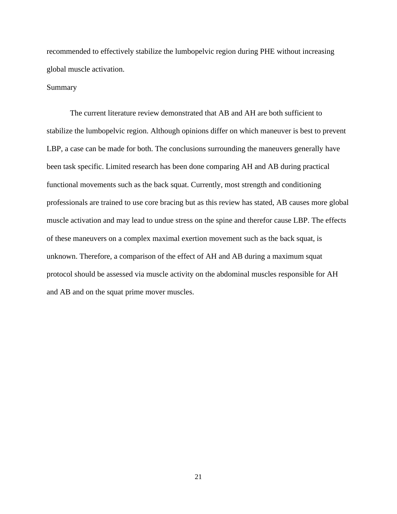recommended to effectively stabilize the lumbopelvic region during PHE without increasing global muscle activation.

#### Summary

The current literature review demonstrated that AB and AH are both sufficient to stabilize the lumbopelvic region. Although opinions differ on which maneuver is best to prevent LBP, a case can be made for both. The conclusions surrounding the maneuvers generally have been task specific. Limited research has been done comparing AH and AB during practical functional movements such as the back squat. Currently, most strength and conditioning professionals are trained to use core bracing but as this review has stated, AB causes more global muscle activation and may lead to undue stress on the spine and therefor cause LBP. The effects of these maneuvers on a complex maximal exertion movement such as the back squat, is unknown. Therefore, a comparison of the effect of AH and AB during a maximum squat protocol should be assessed via muscle activity on the abdominal muscles responsible for AH and AB and on the squat prime mover muscles.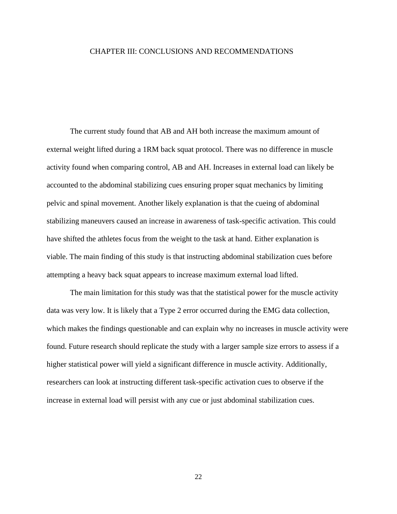#### CHAPTER III: CONCLUSIONS AND RECOMMENDATIONS

The current study found that AB and AH both increase the maximum amount of external weight lifted during a 1RM back squat protocol. There was no difference in muscle activity found when comparing control, AB and AH. Increases in external load can likely be accounted to the abdominal stabilizing cues ensuring proper squat mechanics by limiting pelvic and spinal movement. Another likely explanation is that the cueing of abdominal stabilizing maneuvers caused an increase in awareness of task-specific activation. This could have shifted the athletes focus from the weight to the task at hand. Either explanation is viable. The main finding of this study is that instructing abdominal stabilization cues before attempting a heavy back squat appears to increase maximum external load lifted.

The main limitation for this study was that the statistical power for the muscle activity data was very low. It is likely that a Type 2 error occurred during the EMG data collection, which makes the findings questionable and can explain why no increases in muscle activity were found. Future research should replicate the study with a larger sample size errors to assess if a higher statistical power will yield a significant difference in muscle activity. Additionally, researchers can look at instructing different task-specific activation cues to observe if the increase in external load will persist with any cue or just abdominal stabilization cues.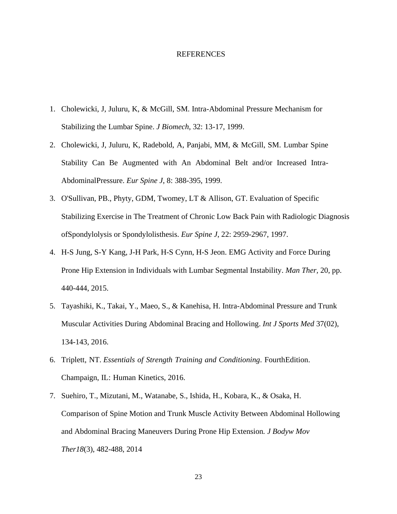#### REFERENCES

- 1. Cholewicki, J, Juluru, K, & McGill, SM. Intra-Abdominal Pressure Mechanism for Stabilizing the Lumbar Spine. *J Biomech*, 32: 13-17, 1999.
- 2. Cholewicki, J, Juluru, K, Radebold, A, Panjabi, MM, & McGill, SM. Lumbar Spine Stability Can Be Augmented with An Abdominal Belt and/or Increased Intra-AbdominalPressure. *Eur Spine J*, 8: 388-395, 1999.
- 3. O'Sullivan, PB., Phyty, GDM, Twomey, LT & Allison, GT. Evaluation of Specific Stabilizing Exercise in The Treatment of Chronic Low Back Pain with Radiologic Diagnosis ofSpondylolysis or Spondylolisthesis. *Eur Spine J*, 22: 2959-2967, 1997.
- 4. H-S Jung, S-Y Kang, J-H Park, H-S Cynn, H-S Jeon. EMG Activity and Force During Prone Hip Extension in Individuals with Lumbar Segmental Instability. *Man Ther,* 20, pp. 440-444, 2015.
- 5. Tayashiki, K., Takai, Y., Maeo, S., & Kanehisa, H. Intra-Abdominal Pressure and Trunk Muscular Activities During Abdominal Bracing and Hollowing. *Int J Sports Med* 37(02), 134-143, 2016.
- 6. Triplett, NT. *Essentials of Strength Training and Conditioning*. FourthEdition. Champaign, IL: Human Kinetics, 2016.
- 7. Suehiro, T., Mizutani, M., Watanabe, S., Ishida, H., Kobara, K., & Osaka, H. Comparison of Spine Motion and Trunk Muscle Activity Between Abdominal Hollowing and Abdominal Bracing Maneuvers During Prone Hip Extension*. J Bodyw Mov Ther18*(3), 482-488, 2014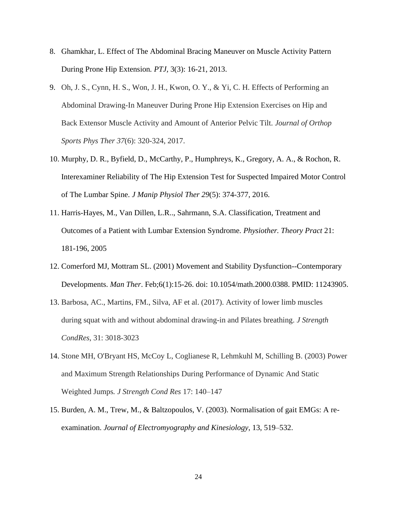- 8. Ghamkhar, L. Effect of The Abdominal Bracing Maneuver on Muscle Activity Pattern During Prone Hip Extension*. PTJ,* 3(3): 16-21, 2013.
- 9. Oh, J. S., Cynn, H. S., Won, J. H., Kwon, O. Y., & Yi, C. H. Effects of Performing an Abdominal Drawing-In Maneuver During Prone Hip Extension Exercises on Hip and Back Extensor Muscle Activity and Amount of Anterior Pelvic Tilt. *Journal of Orthop Sports Phys Ther 37*(6): 320-324, 2017.
- 10. Murphy, D. R., Byfield, D., McCarthy, P., Humphreys, K., Gregory, A. A., & Rochon, R. Interexaminer Reliability of The Hip Extension Test for Suspected Impaired Motor Control of The Lumbar Spine. *J Manip Physiol Ther 29*(5): 374-377, 2016.
- 11. Harris-Hayes, M., Van Dillen, L.R.., Sahrmann, S.A. Classification, Treatment and Outcomes of a Patient with Lumbar Extension Syndrome*. Physiother. Theory Pract* 21: 181-196, 2005
- 12. Comerford MJ, Mottram SL. (2001) Movement and Stability Dysfunction--Contemporary Developments. *Man Ther*. Feb;6(1):15-26. doi: 10.1054/math.2000.0388. PMID: 11243905.
- 13. Barbosa, AC., Martins, FM., Silva, AF et al. (2017). Activity of lower limb muscles during squat with and without abdominal drawing-in and Pilates breathing. *J Strength CondRes*, 31: 3018-3023
- 14. Stone MH, O'Bryant HS, McCoy L, Coglianese R, Lehmkuhl M, Schilling B. (2003) Power and Maximum Strength Relationships During Performance of Dynamic And Static Weighted Jumps*. J Strength Cond Res* 17: 140–147
- 15. Burden, A. M., Trew, M., & Baltzopoulos, V. (2003). Normalisation of gait EMGs: A reexamination. *Journal of Electromyography and Kinesiology*, 13, 519–532.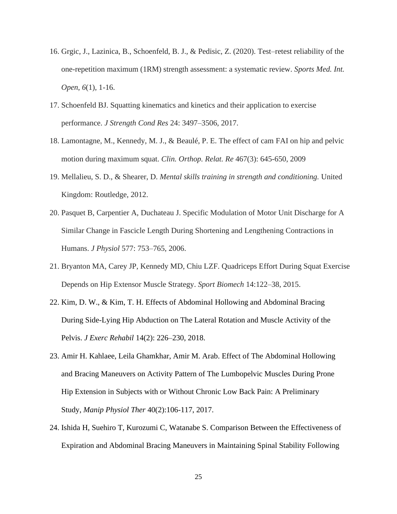- 16. Grgic, J., Lazinica, B., Schoenfeld, B. J., & Pedisic, Z. (2020). Test–retest reliability of the one-repetition maximum (1RM) strength assessment: a systematic review. *Sports Med. Int. Open*, *6*(1), 1-16.
- 17. Schoenfeld BJ. Squatting kinematics and kinetics and their application to exercise performance. *J Strength Cond Res* 24: 3497–3506, 2017.
- 18. Lamontagne, M., Kennedy, M. J., & Beaulé, P. E. The effect of cam FAI on hip and pelvic motion during maximum squat. *Clin. Orthop. Relat. Re* 467(3): 645-650, 2009
- 19. Mellalieu, S. D., & Shearer, D. *Mental skills training in strength and conditioning.* United Kingdom: Routledge, 2012.
- 20. Pasquet B, Carpentier A, Duchateau J. Specific Modulation of Motor Unit Discharge for A Similar Change in Fascicle Length During Shortening and Lengthening Contractions in Humans. *J Physiol* 577: 753–765, 2006.
- 21. Bryanton MA, Carey JP, Kennedy MD, Chiu LZF. Quadriceps Effort During Squat Exercise Depends on Hip Extensor Muscle Strategy. *Sport Biomech* 14:122–38, 2015.
- 22. Kim, D. W., & Kim, T. H. Effects of Abdominal Hollowing and Abdominal Bracing During Side-Lying Hip Abduction on The Lateral Rotation and Muscle Activity of the Pelvis. *J Exerc Rehabil* 14(2): 226–230, 2018.
- 23. Amir H. Kahlaee, Leila Ghamkhar, Amir M. Arab. Effect of The Abdominal Hollowing and Bracing Maneuvers on Activity Pattern of The Lumbopelvic Muscles During Prone Hip Extension in Subjects with or Without Chronic Low Back Pain: A Preliminary Study, *Manip Physiol Ther* 40(2):106-117, 2017.
- 24. Ishida H, Suehiro T, Kurozumi C, Watanabe S. Comparison Between the Effectiveness of Expiration and Abdominal Bracing Maneuvers in Maintaining Spinal Stability Following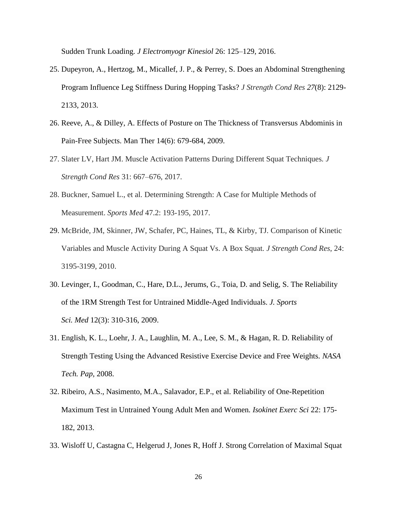Sudden Trunk Loading*. J Electromyogr Kinesiol* 26: 125–129, 2016.

- 25. Dupeyron, A., Hertzog, M., Micallef, J. P., & Perrey, S. Does an Abdominal Strengthening Program Influence Leg Stiffness During Hopping Tasks? *J Strength Cond Res 27*(8): 2129- 2133, 2013.
- 26. Reeve, A., & Dilley, A. Effects of Posture on The Thickness of Transversus Abdominis in Pain-Free Subjects. Man Ther 14(6): 679-684, 2009.
- 27. Slater LV, Hart JM. Muscle Activation Patterns During Different Squat Techniques*. J Strength Cond Res* 31: 667–676, 2017.
- 28. Buckner, Samuel L., et al*.* Determining Strength: A Case for Multiple Methods of Measurement. *Sports Med* 47.2: 193-195, 2017.
- 29. McBride, JM, Skinner, JW, Schafer, PC, Haines, TL, & Kirby, TJ. Comparison of Kinetic Variables and Muscle Activity During A Squat Vs. A Box Squat*. J Strength Cond Res*, 24: 3195-3199, 2010.
- 30. Levinger, I., Goodman, C., Hare, D.L., Jerums, G., Toia, D. and Selig, S. The Reliability of the 1RM Strength Test for Untrained Middle-Aged Individuals. *J. Sports Sci. Med* 12(3): 310-316, 2009.
- 31. English, K. L., Loehr, J. A., Laughlin, M. A., Lee, S. M., & Hagan, R. D. Reliability of Strength Testing Using the Advanced Resistive Exercise Device and Free Weights. *NASA Tech. Pap*, 2008.
- 32. Ribeiro, A.S., Nasimento, M.A., Salavador, E.P., et al. Reliability of One-Repetition Maximum Test in Untrained Young Adult Men and Women*. Isokinet Exerc Sci* 22: 175- 182, 2013.
- 33. Wisloff U, Castagna C, Helgerud J, Jones R, Hoff J. Strong Correlation of Maximal Squat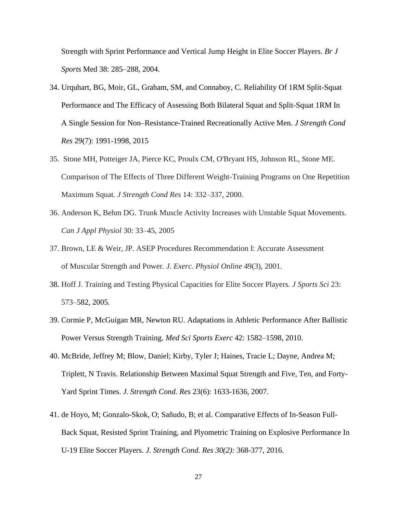Strength with Sprint Performance and Vertical Jump Height in Elite Soccer Players. *Br J Sports* Med 38: 285–288, 2004.

- 34. Urquhart, BG, Moir, GL, Graham, SM, and Connaboy, C. Reliability Of 1RM Split-Squat Performance and The Efficacy of Assessing Both Bilateral Squat and Split-Squat 1RM In A Single Session for Non–Resistance-Trained Recreationally Active Men. *J Strength Cond Res* 29(7): 1991-1998, 2015
- 35. Stone MH, Potteiger JA, Pierce KC, Proulx CM, O'Bryant HS, Johnson RL, Stone ME. Comparison of The Effects of Three Different Weight-Training Programs on One Repetition Maximum Squat*. J Strength Cond Res* 14: 332–337, 2000.
- 36. Anderson K, Behm DG. Trunk Muscle Activity Increases with Unstable Squat Movements. *Can J Appl Physiol* 30: 33–45, 2005
- 37. Brown, LE & Weir, JP. ASEP Procedures Recommendation I: Accurate Assessment of Muscular Strength and Power*. J. Exerc. Physiol Online* 49(3), 2001.
- 38. Hoff J. Training and Testing Physical Capacities for Elite Soccer Players*. J Sports Sci* 23: 573–582, 2005.
- 39. Cormie P, McGuigan MR, Newton RU. Adaptations in Athletic Performance After Ballistic Power Versus Strength Training*. Med Sci Sports Exerc* 42: 1582–1598, 2010.
- 40. McBride, Jeffrey M; Blow, Daniel; Kirby, Tyler J; Haines, Tracie L; Dayne, Andrea M; Triplett, N Travis. Relationship Between Maximal Squat Strength and Five, Ten, and Forty-Yard Sprint Times. *J. Strength Cond. Res* 23(6): 1633-1636, 2007.
- 41. de Hoyo, M; Gonzalo-Skok, O; Sañudo, B; et al. Comparative Effects of In-Season Full-Back Squat, Resisted Sprint Training, and Plyometric Training on Explosive Performance In U-19 Elite Soccer Players. *J. Strength Cond. Res 30(2):* 368-377, 2016.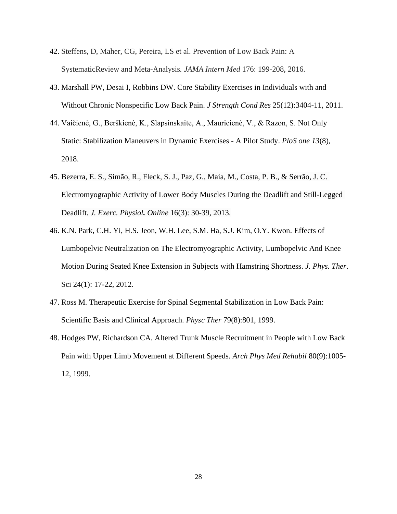- 42. Steffens, D, Maher, CG, Pereira, LS et al. Prevention of Low Back Pain: A SystematicReview and Meta-Analysis*. JAMA Intern Med* 176: 199-208, 2016.
- 43. Marshall PW, Desai I, Robbins DW. Core Stability Exercises in Individuals with and Without Chronic Nonspecific Low Back Pain. *J Strength Cond Res* 25(12):3404-11, 2011.
- 44. Vaičienė, G., Berškienė, K., Slapsinskaite, A., Mauricienė, V., & Razon, S. Not Only Static: Stabilization Maneuvers in Dynamic Exercises - A Pilot Study. *PloS one 13*(8), 2018.
- 45. Bezerra, E. S., Simão, R., Fleck, S. J., Paz, G., Maia, M., Costa, P. B., & Serrão, J. C. Electromyographic Activity of Lower Body Muscles During the Deadlift and Still-Legged Deadlift*. J. Exerc. Physiol. Online* 16(3): 30-39, 2013.
- 46. K.N. Park, C.H. Yi, H.S. Jeon, W.H. Lee, S.M. Ha, S.J. Kim, O.Y. Kwon. Effects of Lumbopelvic Neutralization on The Electromyographic Activity, Lumbopelvic And Knee Motion During Seated Knee Extension in Subjects with Hamstring Shortness. *J. Phys. Ther*. Sci 24(1): 17-22, 2012.
- 47. Ross M*.* Therapeutic Exercise for Spinal Segmental Stabilization in Low Back Pain: Scientific Basis and Clinical Approach. *Physc Ther* 79(8):801, 1999.
- 48. Hodges PW, Richardson CA. Altered Trunk Muscle Recruitment in People with Low Back Pain with Upper Limb Movement at Different Speeds*. Arch Phys Med Rehabil* 80(9):1005- 12, 1999.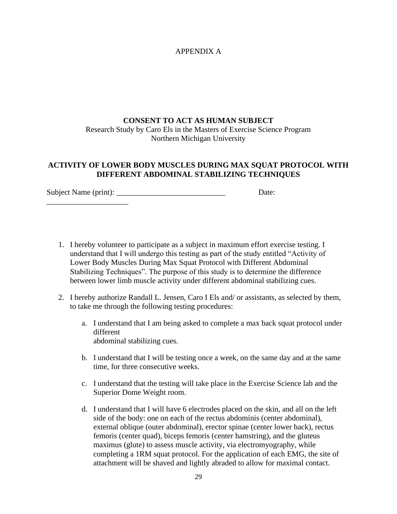## APPENDIX A

# **CONSENT TO ACT AS HUMAN SUBJECT** Research Study by Caro Els in the Masters of Exercise Science Program Northern Michigan University

### **ACTIVITY OF LOWER BODY MUSCLES DURING MAX SQUAT PROTOCOL WITH DIFFERENT ABDOMINAL STABILIZING TECHNIQUES**

Subject Name (print): \_\_\_\_\_\_\_\_\_\_\_\_\_\_\_\_\_\_\_\_\_\_\_\_\_\_\_\_ Date: \_\_\_\_\_\_\_\_\_\_\_\_\_\_\_\_\_\_\_\_\_

- 1. I hereby volunteer to participate as a subject in maximum effort exercise testing. I understand that I will undergo this testing as part of the study entitled "Activity of Lower Body Muscles During Max Squat Protocol with Different Abdominal Stabilizing Techniques". The purpose of this study is to determine the difference between lower limb muscle activity under different abdominal stabilizing cues.
- 2. I hereby authorize Randall L. Jensen, Caro I Els and/ or assistants, as selected by them, to take me through the following testing procedures:
	- a. I understand that I am being asked to complete a max back squat protocol under different abdominal stabilizing cues.
	- b. I understand that I will be testing once a week, on the same day and at the same time, for three consecutive weeks.
	- c. I understand that the testing will take place in the Exercise Science lab and the Superior Dome Weight room.
	- d. I understand that I will have 6 electrodes placed on the skin, and all on the left side of the body: one on each of the rectus abdominis (center abdominal), external oblique (outer abdominal), erector spinae (center lower back), rectus femoris (center quad), biceps femoris (center hamstring), and the gluteus maximus (glute) to assess muscle activity, via electromyography, while completing a 1RM squat protocol. For the application of each EMG, the site of attachment will be shaved and lightly abraded to allow for maximal contact.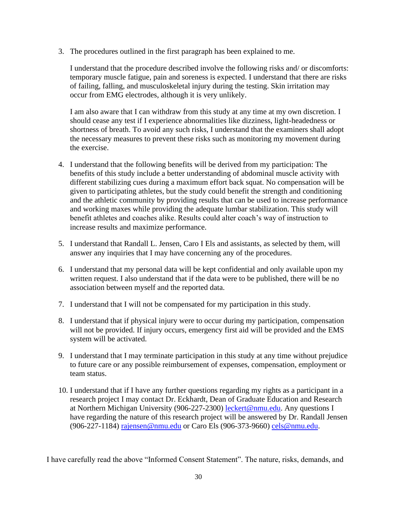3. The procedures outlined in the first paragraph has been explained to me.

I understand that the procedure described involve the following risks and/ or discomforts: temporary muscle fatigue, pain and soreness is expected. I understand that there are risks of failing, falling, and musculoskeletal injury during the testing. Skin irritation may occur from EMG electrodes, although it is very unlikely.

I am also aware that I can withdraw from this study at any time at my own discretion. I should cease any test if I experience abnormalities like dizziness, light-headedness or shortness of breath. To avoid any such risks, I understand that the examiners shall adopt the necessary measures to prevent these risks such as monitoring my movement during the exercise.

- 4. I understand that the following benefits will be derived from my participation: The benefits of this study include a better understanding of abdominal muscle activity with different stabilizing cues during a maximum effort back squat. No compensation will be given to participating athletes, but the study could benefit the strength and conditioning and the athletic community by providing results that can be used to increase performance and working maxes while providing the adequate lumbar stabilization. This study will benefit athletes and coaches alike. Results could alter coach's way of instruction to increase results and maximize performance.
- 5. I understand that Randall L. Jensen, Caro I Els and assistants, as selected by them, will answer any inquiries that I may have concerning any of the procedures.
- 6. I understand that my personal data will be kept confidential and only available upon my written request. I also understand that if the data were to be published, there will be no association between myself and the reported data.
- 7. I understand that I will not be compensated for my participation in this study.
- 8. I understand that if physical injury were to occur during my participation, compensation will not be provided. If injury occurs, emergency first aid will be provided and the EMS system will be activated.
- 9. I understand that I may terminate participation in this study at any time without prejudice to future care or any possible reimbursement of expenses, compensation, employment or team status.
- 10. I understand that if I have any further questions regarding my rights as a participant in a research project I may contact Dr. Eckhardt, Dean of Graduate Education and Research at Northern Michigan University (906-227-2300) [leckert@nmu.edu.](mailto:leckert@nmu.edu) Any questions I have regarding the nature of this research project will be answered by Dr. Randall Jensen (906-227-1184) [rajensen@nmu.edu](mailto:rajensen@nmu.edu) or Caro Els (906-373-9660) [cels@nmu.edu.](mailto:cels@nmu.edu)

I have carefully read the above "Informed Consent Statement". The nature, risks, demands, and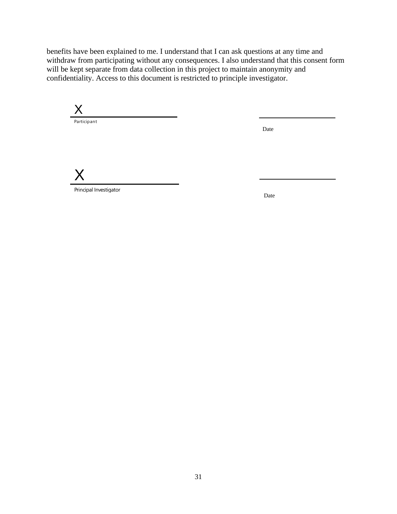benefits have been explained to me. I understand that I can ask questions at any time and withdraw from participating without any consequences. I also understand that this consent form will be kept separate from data collection in this project to maintain anonymity and confidentiality. Access to this document is restricted to principle investigator.

X Participant

Date

X

Principal Investigator

Date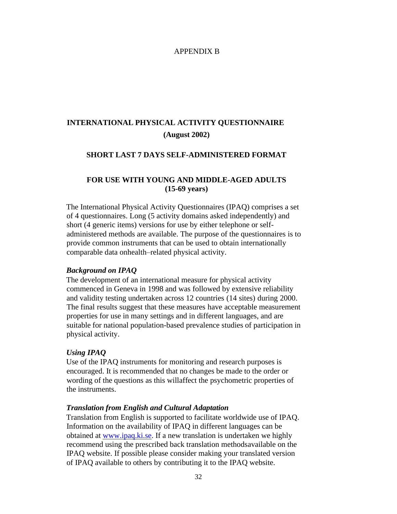#### APPENDIX B

# **INTERNATIONAL PHYSICAL ACTIVITY QUESTIONNAIRE (August 2002)**

#### **SHORT LAST 7 DAYS SELF-ADMINISTERED FORMAT**

### **FOR USE WITH YOUNG AND MIDDLE-AGED ADULTS (15-69 years)**

The International Physical Activity Questionnaires (IPAQ) comprises a set of 4 questionnaires. Long (5 activity domains asked independently) and short (4 generic items) versions for use by either telephone or selfadministered methods are available. The purpose of the questionnaires is to provide common instruments that can be used to obtain internationally comparable data onhealth–related physical activity.

#### *Background on IPAQ*

The development of an international measure for physical activity commenced in Geneva in 1998 and was followed by extensive reliability and validity testing undertaken across 12 countries (14 sites) during 2000. The final results suggest that these measures have acceptable measurement properties for use in many settings and in different languages, and are suitable for national population-based prevalence studies of participation in physical activity.

#### *Using IPAQ*

Use of the IPAQ instruments for monitoring and research purposes is encouraged. It is recommended that no changes be made to the order or wording of the questions as this willaffect the psychometric properties of the instruments.

#### *Translation from English and Cultural Adaptation*

Translation from English is supported to facilitate worldwide use of IPAQ. Information on the availability of IPAQ in different languages can be obtained at [www.ipaq.ki.se. I](http://www.ipaq.ki.se/)f a new translation is undertaken we highly recommend using the prescribed back translation methodsavailable on the IPAQ website. If possible please consider making your translated version of IPAQ available to others by contributing it to the IPAQ website.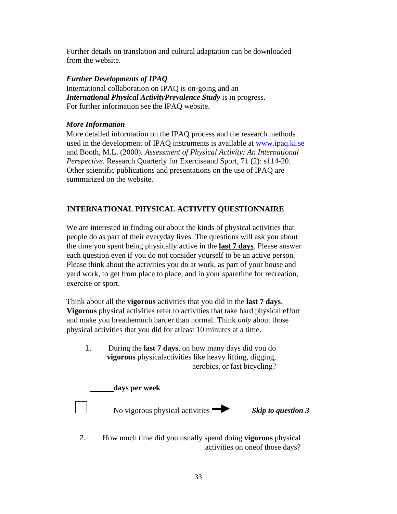Further details on translation and cultural adaptation can be downloaded from the website.

## *Further Developments of IPAQ*

International collaboration on IPAQ is on-going and an *International Physical ActivityPrevalence Study* is in progress. For further information see the IPAQ website.

### *More Information*

More detailed information on the IPAQ process and the research methods used in the development of IPAQ instruments is available at [www.ipaq.ki.se](http://www.ipaq.ki.se/) and Booth, M.L. (2000). *Assessment of Physical Activity: An International Perspective*. Research Quarterly for Exerciseand Sport, 71 (2): s114-20. Other scientific publications and presentations on the use of IPAQ are summarized on the website.

# **INTERNATIONAL PHYSICAL ACTIVITY QUESTIONNAIRE**

We are interested in finding out about the kinds of physical activities that people do as part of their everyday lives. The questions will ask you about the time you spent being physically active in the **last 7 days**. Please answer each question even if you do not consider yourself to be an active person. Please think about the activities you do at work, as part of your house and yard work, to get from place to place, and in your sparetime for recreation, exercise or sport.

Think about all the **vigorous** activities that you did in the **last 7 days**. **Vigorous** physical activities refer to activities that take hard physical effort and make you breathemuch harder than normal. Think *only* about those physical activities that you did for atleast 10 minutes at a time.

1. During the **last 7 days**, on how many days did you do **vigorous** physicalactivities like heavy lifting, digging, aerobics, or fast bicycling?

# **days per week**

No vigorous physical activities *Skip to question 3*

2. How much time did you usually spend doing **vigorous** physical activities on oneof those days?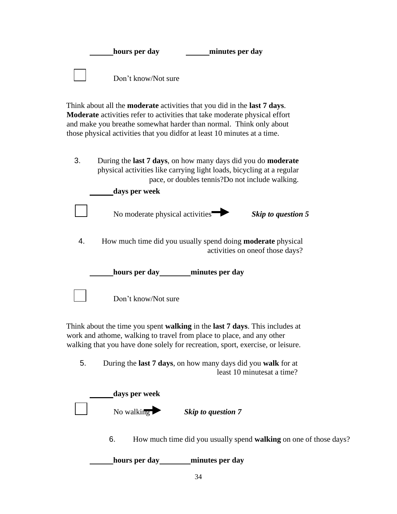| hours per day       | minutes per day |
|---------------------|-----------------|
| Don't know/Not sure |                 |

Think about all the **moderate** activities that you did in the **last 7 days**. **Moderate** activities refer to activities that take moderate physical effort and make you breathe somewhat harder than normal. Think only about those physical activities that you didfor at least 10 minutes at a time.

3. During the **last 7 days**, on how many days did you do **moderate**  physical activities like carrying light loads, bicycling at a regular pace, or doubles tennis?Do not include walking.

|    | days per week                                                                                          |                    |
|----|--------------------------------------------------------------------------------------------------------|--------------------|
|    | No moderate physical activities                                                                        | Skip to question 5 |
| 4. | How much time did you usually spend doing <b>moderate</b> physical<br>activities on one of those days? |                    |
|    | hours per day minutes per day                                                                          |                    |
|    | Don't know/Not sure                                                                                    |                    |

Think about the time you spent **walking** in the **last 7 days**. This includes at work and athome, walking to travel from place to place, and any other walking that you have done solely for recreation, sport, exercise, or leisure.

Don't know/Not sure

5. During the **last 7 days**, on how many days did you **walk** for at least 10 minutesat a time?

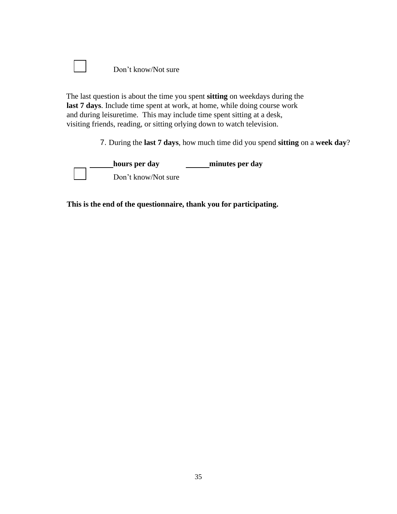| Don't know/Not sure |
|---------------------|
|                     |

The last question is about the time you spent **sitting** on weekdays during the **last 7 days**. Include time spent at work, at home, while doing course work and during leisuretime. This may include time spent sitting at a desk, visiting friends, reading, or sitting orlying down to watch television.

7. During the **last 7 days**, how much time did you spend **sitting** on a **week day**?

**hours per** day **minutes per** day Don't know/Not sure

**This is the end of the questionnaire, thank you for participating.**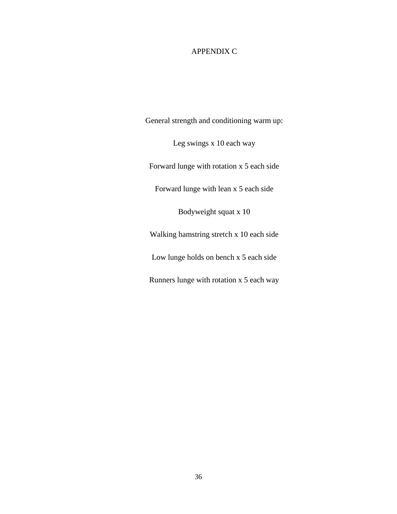## APPENDIX C

General strength and conditioning warm up:

Leg swings x 10 each way

Forward lunge with rotation x 5 each side

Forward lunge with lean x 5 each side

Bodyweight squat x 10

Walking hamstring stretch x 10 each side

Low lunge holds on bench x 5 each side

Runners lunge with rotation x 5 each way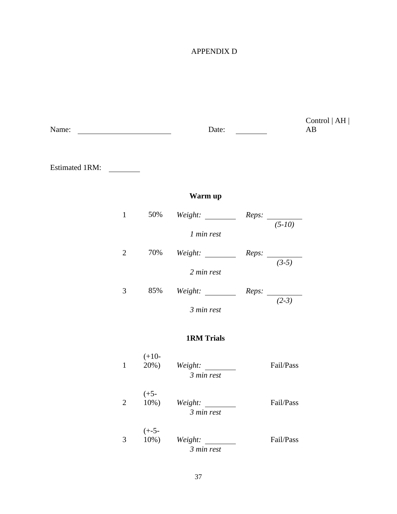# APPENDIX D

| Name: |                |                     | Date:                                      |           | Control $ AH $<br>AB |
|-------|----------------|---------------------|--------------------------------------------|-----------|----------------------|
|       |                |                     |                                            |           |                      |
|       |                |                     | Warm up                                    |           |                      |
|       | $\mathbf{1}$   | 50%                 | Weight: $\frac{Reps: (5-10)}{2}$           |           |                      |
|       |                |                     | 1 min rest                                 |           |                      |
|       | $\sqrt{2}$     | 70%                 | Weight: $\frac{Reps:}{(3-5)}$              |           |                      |
|       |                |                     | 2 min rest                                 |           |                      |
|       | 3              |                     | 85% Weight: <u>Reps:</u> $\frac{1}{(2-3)}$ |           |                      |
|       |                |                     | 3 min rest                                 |           |                      |
|       |                |                     | <b>1RM Trials</b>                          |           |                      |
|       | $\mathbf{1}$   | $(+10-$             | $20\%)$ Weight:<br>3 min rest              | Fail/Pass |                      |
|       | $\overline{2}$ | $(+5-$<br>$10\%$ )  | Weight:<br>3 min rest                      | Fail/Pass |                      |
|       | 3              | $(+-5-$<br>$10\%$ ) | Weight:<br>$3 min$ rest                    | Fail/Pass |                      |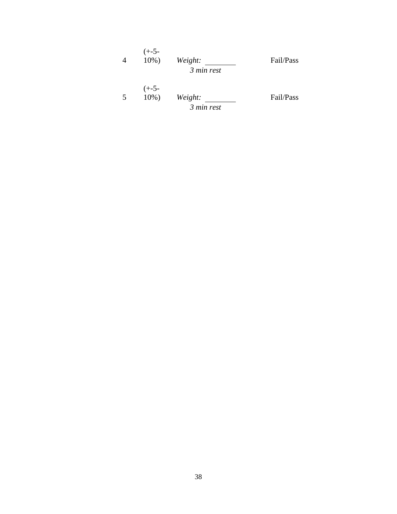| $(+-5-$<br>$10\%$ ) | Weight:<br>3 min rest | Fail/Pass |
|---------------------|-----------------------|-----------|
| $(+-5-$<br>$10\%$ ) | Weight:<br>3 min rest | Fail/Pass |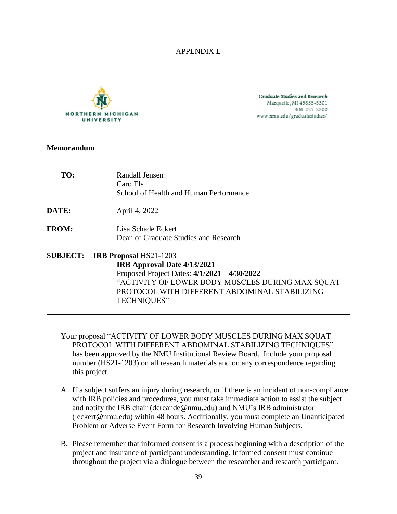### APPENDIX E



**Graduate Studies and Research** Marquette, MI 49855-5301 906-227-2300 www.nmu.edu/graduatestudies/

### **Memorandum**

| TO:             | Randall Jensen<br>Caro Els<br>School of Health and Human Performance                                                                                                                                                                      |
|-----------------|-------------------------------------------------------------------------------------------------------------------------------------------------------------------------------------------------------------------------------------------|
| DATE:           | April 4, 2022                                                                                                                                                                                                                             |
| <b>FROM:</b>    | Lisa Schade Eckert<br>Dean of Graduate Studies and Research                                                                                                                                                                               |
| <b>SUBJECT:</b> | <b>IRB Proposal HS21-1203</b><br>IRB Approval Date 4/13/2021<br>Proposed Project Dates: $4/1/2021 - 4/30/2022$<br>"ACTIVITY OF LOWER BODY MUSCLES DURING MAX SQUAT<br>PROTOCOL WITH DIFFERENT ABDOMINAL STABILIZING<br><b>TECHNIQUES"</b> |

- Your proposal "ACTIVITY OF LOWER BODY MUSCLES DURING MAX SQUAT PROTOCOL WITH DIFFERENT ABDOMINAL STABILIZING TECHNIQUES" has been approved by the NMU Institutional Review Board. Include your proposal number (HS21-1203) on all research materials and on any correspondence regarding this project.
- A. If a subject suffers an injury during research, or if there is an incident of non-compliance with IRB policies and procedures, you must take immediate action to assist the subject and notify the IRB chair (dereande@nmu.edu) and NMU's IRB administrator (leckert@nmu.edu) within 48 hours. Additionally, you must complete an Unanticipated Problem or Adverse Event Form for Research Involving Human Subjects.
- B. Please remember that informed consent is a process beginning with a description of the project and insurance of participant understanding. Informed consent must continue throughout the project via a dialogue between the researcher and research participant.